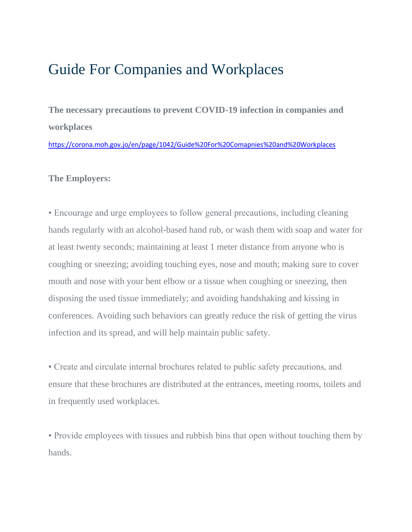## Guide For Companies and Workplaces

**The necessary precautions to prevent COVID-19 infection in companies and workplaces**

<https://corona.moh.gov.jo/en/page/1042/Guide%20For%20Comapnies%20and%20Workplaces>

## **The Employers:**

▪ Encourage and urge employees to follow general precautions, including cleaning hands regularly with an alcohol-based hand rub, or wash them with soap and water for at least twenty seconds; maintaining at least 1 meter distance from anyone who is coughing or sneezing; avoiding touching eyes, nose and mouth; making sure to cover mouth and nose with your bent elbow or a tissue when coughing or sneezing, then disposing the used tissue immediately; and avoiding handshaking and kissing in conferences. Avoiding such behaviors can greatly reduce the risk of getting the virus infection and its spread, and will help maintain public safety.

▪ Create and circulate internal brochures related to public safety precautions, and ensure that these brochures are distributed at the entrances, meeting rooms, toilets and in frequently used workplaces.

• Provide employees with tissues and rubbish bins that open without touching them by hands.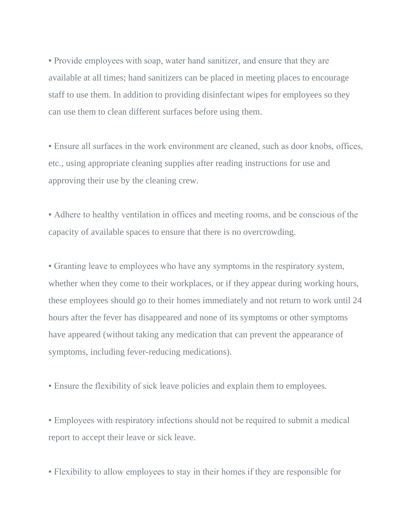▪ Provide employees with soap, water hand sanitizer, and ensure that they are available at all times; hand sanitizers can be placed in meeting places to encourage staff to use them. In addition to providing disinfectant wipes for employees so they can use them to clean different surfaces before using them.

• Ensure all surfaces in the work environment are cleaned, such as door knobs, offices, etc., using appropriate cleaning supplies after reading instructions for use and approving their use by the cleaning crew.

▪ Adhere to healthy ventilation in offices and meeting rooms, and be conscious of the capacity of available spaces to ensure that there is no overcrowding.

▪ Granting leave to employees who have any symptoms in the respiratory system, whether when they come to their workplaces, or if they appear during working hours, these employees should go to their homes immediately and not return to work until 24 hours after the fever has disappeared and none of its symptoms or other symptoms have appeared (without taking any medication that can prevent the appearance of symptoms, including fever-reducing medications).

▪ Ensure the flexibility of sick leave policies and explain them to employees.

▪ Employees with respiratory infections should not be required to submit a medical report to accept their leave or sick leave.

▪ Flexibility to allow employees to stay in their homes if they are responsible for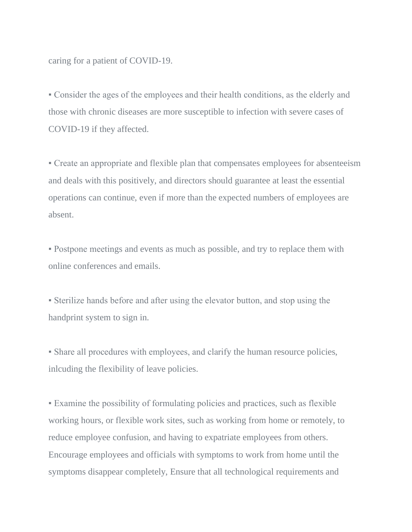caring for a patient of COVID-19.

▪ Consider the ages of the employees and their health conditions, as the elderly and those with chronic diseases are more susceptible to infection with severe cases of COVID-19 if they affected.

▪ Create an appropriate and flexible plan that compensates employees for absenteeism and deals with this positively, and directors should guarantee at least the essential operations can continue, even if more than the expected numbers of employees are absent.

▪ Postpone meetings and events as much as possible, and try to replace them with online conferences and emails.

▪ Sterilize hands before and after using the elevator button, and stop using the handprint system to sign in.

• Share all procedures with employees, and clarify the human resource policies, inlcuding the flexibility of leave policies.

▪ Examine the possibility of formulating policies and practices, such as flexible working hours, or flexible work sites, such as working from home or remotely, to reduce employee confusion, and having to expatriate employees from others. Encourage employees and officials with symptoms to work from home until the symptoms disappear completely, Ensure that all technological requirements and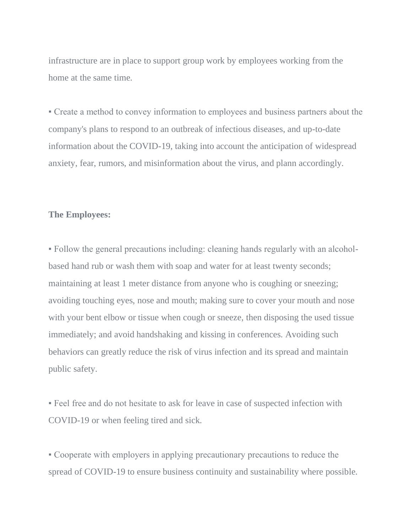infrastructure are in place to support group work by employees working from the home at the same time.

▪ Create a method to convey information to employees and business partners about the company's plans to respond to an outbreak of infectious diseases, and up-to-date information about the COVID-19, taking into account the anticipation of widespread anxiety, fear, rumors, and misinformation about the virus, and plann accordingly.

## **The Employees:**

▪ Follow the general precautions including: cleaning hands regularly with an alcoholbased hand rub or wash them with soap and water for at least twenty seconds; maintaining at least 1 meter distance from anyone who is coughing or sneezing; avoiding touching eyes, nose and mouth; making sure to cover your mouth and nose with your bent elbow or tissue when cough or sneeze, then disposing the used tissue immediately; and avoid handshaking and kissing in conferences. Avoiding such behaviors can greatly reduce the risk of virus infection and its spread and maintain public safety.

▪ Feel free and do not hesitate to ask for leave in case of suspected infection with COVID-19 or when feeling tired and sick.

▪ Cooperate with employers in applying precautionary precautions to reduce the spread of COVID-19 to ensure business continuity and sustainability where possible.